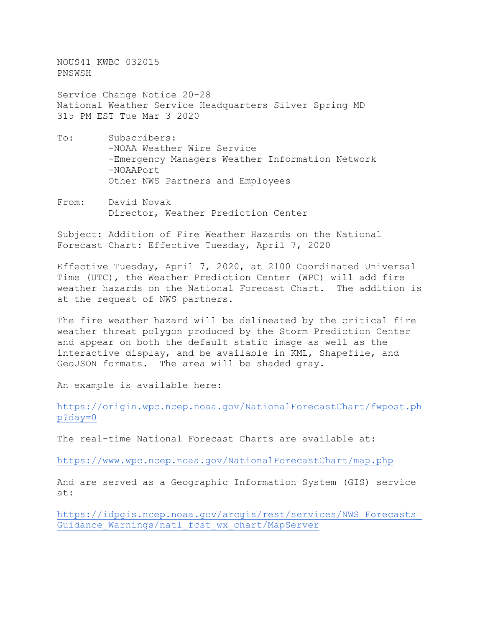NOUS41 KWBC 032015 PNSWSH

Service Change Notice 20-28 National Weather Service Headquarters Silver Spring MD 315 PM EST Tue Mar 3 2020

- To: Subscribers: -NOAA Weather Wire Service -Emergency Managers Weather Information Network -NOAAPort Other NWS Partners and Employees
- From: David Novak Director, Weather Prediction Center

Subject: Addition of Fire Weather Hazards on the National Forecast Chart: Effective Tuesday, April 7, 2020

Effective Tuesday, April 7, 2020, at 2100 Coordinated Universal Time (UTC), the Weather Prediction Center (WPC) will add fire weather hazards on the National Forecast Chart. The addition is at the request of NWS partners.

The fire weather hazard will be delineated by the critical fire weather threat polygon produced by the Storm Prediction Center and appear on both the default static image as well as the interactive display, and be available in KML, Shapefile, and GeoJSON formats. The area will be shaded gray.

An example is available here:

[https://origin.wpc.ncep.noaa.gov/NationalForecastChart/fwpost.ph](https://origin.wpc.ncep.noaa.gov/NationalForecastChart/fwpost.php?day=0) [p?day=0](https://origin.wpc.ncep.noaa.gov/NationalForecastChart/fwpost.php?day=0)

The real-time National Forecast Charts are available at:

<https://www.wpc.ncep.noaa.gov/NationalForecastChart/map.php>

And are served as a Geographic Information System (GIS) service at:

[https://idpgis.ncep.noaa.gov/arcgis/rest/services/NWS\\_Forecasts\\_](https://idpgis.ncep.noaa.gov/arcgis/rest/services/NWS_Forecasts_Guidance_Warnings/natl_fcst_wx_chart/MapServer) [Guidance\\_Warnings/natl\\_fcst\\_wx\\_chart/MapServer](https://idpgis.ncep.noaa.gov/arcgis/rest/services/NWS_Forecasts_Guidance_Warnings/natl_fcst_wx_chart/MapServer)